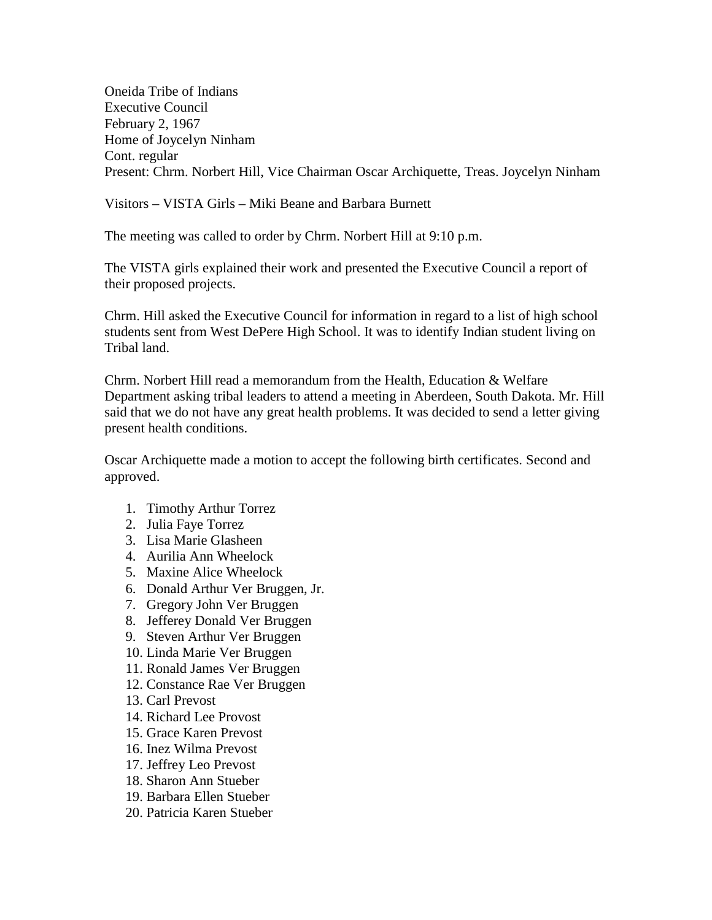Oneida Tribe of Indians Executive Council February 2, 1967 Home of Joycelyn Ninham Cont. regular Present: Chrm. Norbert Hill, Vice Chairman Oscar Archiquette, Treas. Joycelyn Ninham

Visitors – VISTA Girls – Miki Beane and Barbara Burnett

The meeting was called to order by Chrm. Norbert Hill at 9:10 p.m.

The VISTA girls explained their work and presented the Executive Council a report of their proposed projects.

Chrm. Hill asked the Executive Council for information in regard to a list of high school students sent from West DePere High School. It was to identify Indian student living on Tribal land.

Chrm. Norbert Hill read a memorandum from the Health, Education & Welfare Department asking tribal leaders to attend a meeting in Aberdeen, South Dakota. Mr. Hill said that we do not have any great health problems. It was decided to send a letter giving present health conditions.

Oscar Archiquette made a motion to accept the following birth certificates. Second and approved.

- 1. Timothy Arthur Torrez
- 2. Julia Faye Torrez
- 3. Lisa Marie Glasheen
- 4. Aurilia Ann Wheelock
- 5. Maxine Alice Wheelock
- 6. Donald Arthur Ver Bruggen, Jr.
- 7. Gregory John Ver Bruggen
- 8. Jefferey Donald Ver Bruggen
- 9. Steven Arthur Ver Bruggen
- 10. Linda Marie Ver Bruggen
- 11. Ronald James Ver Bruggen
- 12. Constance Rae Ver Bruggen
- 13. Carl Prevost
- 14. Richard Lee Provost
- 15. Grace Karen Prevost
- 16. Inez Wilma Prevost
- 17. Jeffrey Leo Prevost
- 18. Sharon Ann Stueber
- 19. Barbara Ellen Stueber
- 20. Patricia Karen Stueber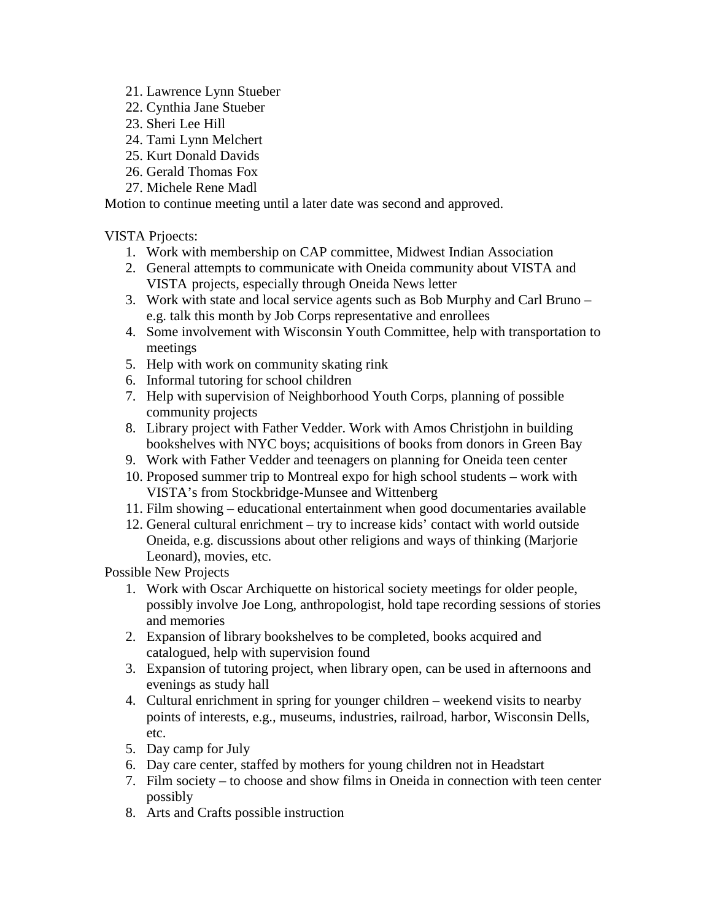- 21. Lawrence Lynn Stueber
- 22. Cynthia Jane Stueber
- 23. Sheri Lee Hill
- 24. Tami Lynn Melchert
- 25. Kurt Donald Davids
- 26. Gerald Thomas Fox
- 27. Michele Rene Madl

Motion to continue meeting until a later date was second and approved.

VISTA Prjoects:

- 1. Work with membership on CAP committee, Midwest Indian Association
- 2. General attempts to communicate with Oneida community about VISTA and VISTA projects, especially through Oneida News letter
- 3. Work with state and local service agents such as Bob Murphy and Carl Bruno e.g. talk this month by Job Corps representative and enrollees
- 4. Some involvement with Wisconsin Youth Committee, help with transportation to meetings
- 5. Help with work on community skating rink
- 6. Informal tutoring for school children
- 7. Help with supervision of Neighborhood Youth Corps, planning of possible community projects
- 8. Library project with Father Vedder. Work with Amos Christjohn in building bookshelves with NYC boys; acquisitions of books from donors in Green Bay
- 9. Work with Father Vedder and teenagers on planning for Oneida teen center
- 10. Proposed summer trip to Montreal expo for high school students work with VISTA's from Stockbridge-Munsee and Wittenberg
- 11. Film showing educational entertainment when good documentaries available
- 12. General cultural enrichment try to increase kids' contact with world outside Oneida, e.g. discussions about other religions and ways of thinking (Marjorie Leonard), movies, etc.

Possible New Projects

- 1. Work with Oscar Archiquette on historical society meetings for older people, possibly involve Joe Long, anthropologist, hold tape recording sessions of stories and memories
- 2. Expansion of library bookshelves to be completed, books acquired and catalogued, help with supervision found
- 3. Expansion of tutoring project, when library open, can be used in afternoons and evenings as study hall
- 4. Cultural enrichment in spring for younger children weekend visits to nearby points of interests, e.g., museums, industries, railroad, harbor, Wisconsin Dells, etc.
- 5. Day camp for July
- 6. Day care center, staffed by mothers for young children not in Headstart
- 7. Film society to choose and show films in Oneida in connection with teen center possibly
- 8. Arts and Crafts possible instruction